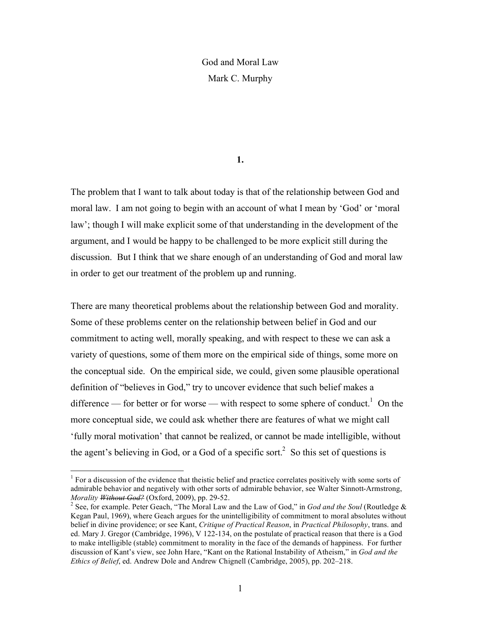## God and Moral Law Mark C. Murphy

## **1.**

The problem that I want to talk about today is that of the relationship between God and moral law. I am not going to begin with an account of what I mean by 'God' or 'moral law'; though I will make explicit some of that understanding in the development of the argument, and I would be happy to be challenged to be more explicit still during the discussion. But I think that we share enough of an understanding of God and moral law in order to get our treatment of the problem up and running.

There are many theoretical problems about the relationship between God and morality. Some of these problems center on the relationship between belief in God and our commitment to acting well, morally speaking, and with respect to these we can ask a variety of questions, some of them more on the empirical side of things, some more on the conceptual side. On the empirical side, we could, given some plausible operational definition of "believes in God," try to uncover evidence that such belief makes a difference — for better or for worse — with respect to some sphere of conduct.<sup>1</sup> On the more conceptual side, we could ask whether there are features of what we might call 'fully moral motivation' that cannot be realized, or cannot be made intelligible, without the agent's believing in God, or a God of a specific sort.<sup>2</sup> So this set of questions is

 $\frac{1}{1}$  $<sup>1</sup>$  For a discussion of the evidence that theistic belief and practice correlates positively with some sorts of</sup> admirable behavior and negatively with other sorts of admirable behavior, see Walter Sinnott-Armstrong, *Morality <del>Without God?</del>* (Oxford, 2009), pp. 29-52.

<sup>&</sup>lt;sup>2</sup> See, for example. Peter Geach, "The Moral Law and the Law of God," in *God and the Soul* (Routledge & Kegan Paul, 1969), where Geach argues for the unintelligibility of commitment to moral absolutes without belief in divine providence; or see Kant, *Critique of Practical Reason*, in *Practical Philosophy*, trans. and ed. Mary J. Gregor (Cambridge, 1996), V 122-134, on the postulate of practical reason that there is a God to make intelligible (stable) commitment to morality in the face of the demands of happiness. For further discussion of Kant's view, see John Hare, "Kant on the Rational Instability of Atheism," in *God and the Ethics of Belief*, ed. Andrew Dole and Andrew Chignell (Cambridge, 2005), pp. 202–218.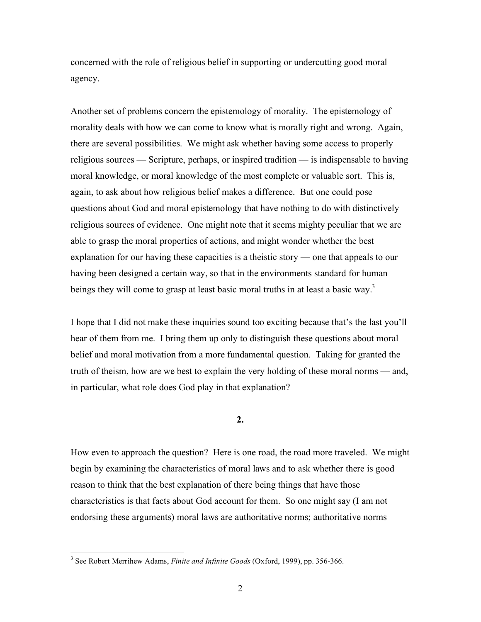concerned with the role of religious belief in supporting or undercutting good moral agency.

Another set of problems concern the epistemology of morality. The epistemology of morality deals with how we can come to know what is morally right and wrong. Again, there are several possibilities. We might ask whether having some access to properly religious sources — Scripture, perhaps, or inspired tradition — is indispensable to having moral knowledge, or moral knowledge of the most complete or valuable sort. This is, again, to ask about how religious belief makes a difference. But one could pose questions about God and moral epistemology that have nothing to do with distinctively religious sources of evidence. One might note that it seems mighty peculiar that we are able to grasp the moral properties of actions, and might wonder whether the best explanation for our having these capacities is a theistic story — one that appeals to our having been designed a certain way, so that in the environments standard for human beings they will come to grasp at least basic moral truths in at least a basic way.<sup>3</sup>

I hope that I did not make these inquiries sound too exciting because that's the last you'll hear of them from me. I bring them up only to distinguish these questions about moral belief and moral motivation from a more fundamental question. Taking for granted the truth of theism, how are we best to explain the very holding of these moral norms — and, in particular, what role does God play in that explanation?

**2.**

How even to approach the question? Here is one road, the road more traveled. We might begin by examining the characteristics of moral laws and to ask whether there is good reason to think that the best explanation of there being things that have those characteristics is that facts about God account for them. So one might say (I am not endorsing these arguments) moral laws are authoritative norms; authoritative norms

<sup>&</sup>lt;sup>3</sup> <sup>3</sup> See Robert Merrihew Adams, *Finite and Infinite Goods* (Oxford, 1999), pp. 356-366.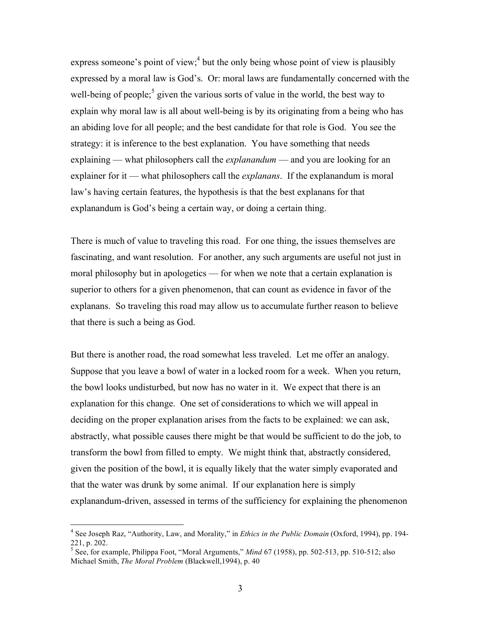express someone's point of view; $<sup>4</sup>$  but the only being whose point of view is plausibly</sup> expressed by a moral law is God's. Or: moral laws are fundamentally concerned with the well-being of people;<sup>5</sup> given the various sorts of value in the world, the best way to explain why moral law is all about well-being is by its originating from a being who has an abiding love for all people; and the best candidate for that role is God. You see the strategy: it is inference to the best explanation. You have something that needs explaining — what philosophers call the *explanandum* — and you are looking for an explainer for it — what philosophers call the *explanans*. If the explanandum is moral law's having certain features, the hypothesis is that the best explanans for that explanandum is God's being a certain way, or doing a certain thing.

There is much of value to traveling this road. For one thing, the issues themselves are fascinating, and want resolution. For another, any such arguments are useful not just in moral philosophy but in apologetics — for when we note that a certain explanation is superior to others for a given phenomenon, that can count as evidence in favor of the explanans. So traveling this road may allow us to accumulate further reason to believe that there is such a being as God.

But there is another road, the road somewhat less traveled. Let me offer an analogy. Suppose that you leave a bowl of water in a locked room for a week. When you return, the bowl looks undisturbed, but now has no water in it. We expect that there is an explanation for this change. One set of considerations to which we will appeal in deciding on the proper explanation arises from the facts to be explained: we can ask, abstractly, what possible causes there might be that would be sufficient to do the job, to transform the bowl from filled to empty. We might think that, abstractly considered, given the position of the bowl, it is equally likely that the water simply evaporated and that the water was drunk by some animal. If our explanation here is simply explanandum-driven, assessed in terms of the sufficiency for explaining the phenomenon

 $\frac{1}{4}$  See Joseph Raz, "Authority, Law, and Morality," in *Ethics in the Public Domain* (Oxford, 1994), pp. 194- 221, p. 202.

<sup>5</sup> See, for example, Philippa Foot, "Moral Arguments," *Mind* 67 (1958), pp. 502-513, pp. 510-512; also Michael Smith, *The Moral Problem* (Blackwell,1994), p. 40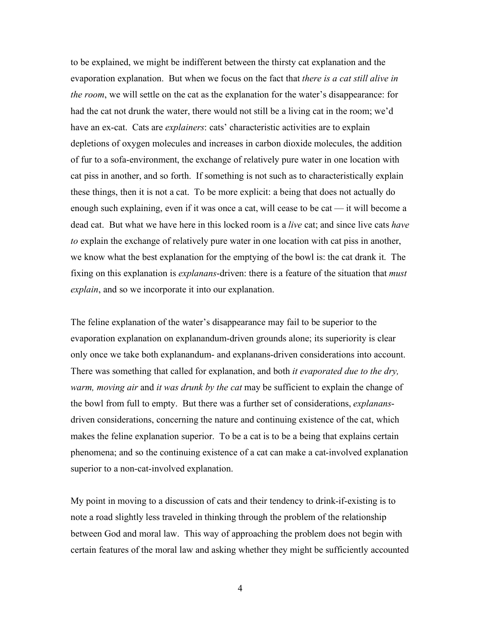to be explained, we might be indifferent between the thirsty cat explanation and the evaporation explanation. But when we focus on the fact that *there is a cat still alive in the room*, we will settle on the cat as the explanation for the water's disappearance: for had the cat not drunk the water, there would not still be a living cat in the room; we'd have an ex-cat. Cats are *explainers*: cats' characteristic activities are to explain depletions of oxygen molecules and increases in carbon dioxide molecules, the addition of fur to a sofa-environment, the exchange of relatively pure water in one location with cat piss in another, and so forth. If something is not such as to characteristically explain these things, then it is not a cat. To be more explicit: a being that does not actually do enough such explaining, even if it was once a cat, will cease to be cat — it will become a dead cat. But what we have here in this locked room is a *live* cat; and since live cats *have to* explain the exchange of relatively pure water in one location with cat piss in another, we know what the best explanation for the emptying of the bowl is: the cat drank it. The fixing on this explanation is *explanans*-driven: there is a feature of the situation that *must explain*, and so we incorporate it into our explanation.

The feline explanation of the water's disappearance may fail to be superior to the evaporation explanation on explanandum-driven grounds alone; its superiority is clear only once we take both explanandum- and explanans-driven considerations into account. There was something that called for explanation, and both *it evaporated due to the dry, warm, moving air* and *it was drunk by the cat* may be sufficient to explain the change of the bowl from full to empty. But there was a further set of considerations, *explanans*driven considerations, concerning the nature and continuing existence of the cat, which makes the feline explanation superior. To be a cat is to be a being that explains certain phenomena; and so the continuing existence of a cat can make a cat-involved explanation superior to a non-cat-involved explanation.

My point in moving to a discussion of cats and their tendency to drink-if-existing is to note a road slightly less traveled in thinking through the problem of the relationship between God and moral law. This way of approaching the problem does not begin with certain features of the moral law and asking whether they might be sufficiently accounted

4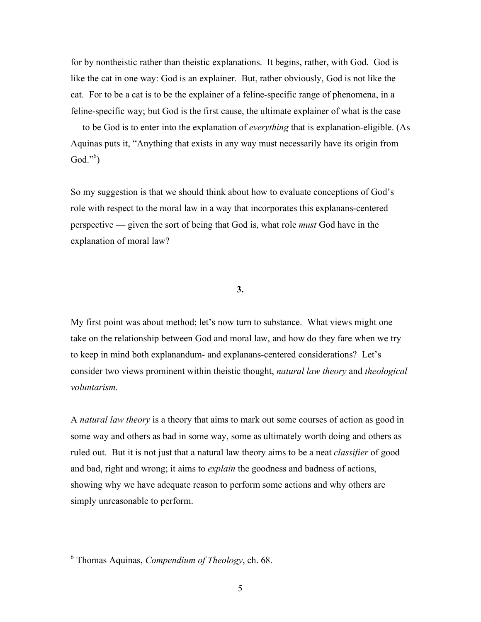for by nontheistic rather than theistic explanations. It begins, rather, with God. God is like the cat in one way: God is an explainer. But, rather obviously, God is not like the cat. For to be a cat is to be the explainer of a feline-specific range of phenomena, in a feline-specific way; but God is the first cause, the ultimate explainer of what is the case — to be God is to enter into the explanation of *everything* that is explanation-eligible. (As Aquinas puts it, "Anything that exists in any way must necessarily have its origin from God." $^{6}$ )

So my suggestion is that we should think about how to evaluate conceptions of God's role with respect to the moral law in a way that incorporates this explanans-centered perspective — given the sort of being that God is, what role *must* God have in the explanation of moral law?

## **3.**

My first point was about method; let's now turn to substance. What views might one take on the relationship between God and moral law, and how do they fare when we try to keep in mind both explanandum- and explanans-centered considerations? Let's consider two views prominent within theistic thought, *natural law theory* and *theological voluntarism*.

A *natural law theory* is a theory that aims to mark out some courses of action as good in some way and others as bad in some way, some as ultimately worth doing and others as ruled out. But it is not just that a natural law theory aims to be a neat *classifier* of good and bad, right and wrong; it aims to *explain* the goodness and badness of actions, showing why we have adequate reason to perform some actions and why others are simply unreasonable to perform.

 <sup>6</sup> Thomas Aquinas, *Compendium of Theology*, ch. 68.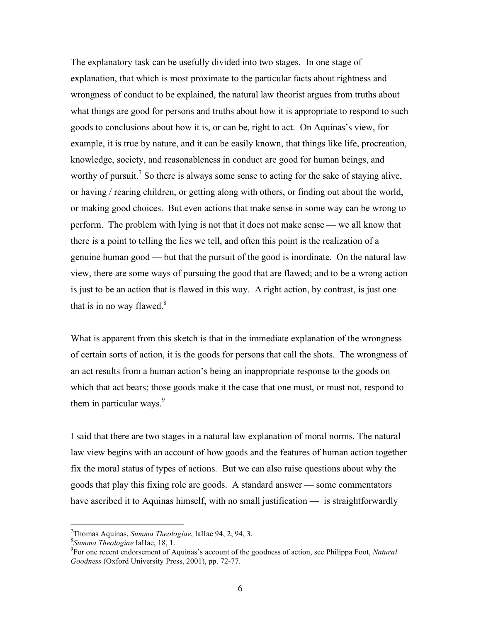The explanatory task can be usefully divided into two stages. In one stage of explanation, that which is most proximate to the particular facts about rightness and wrongness of conduct to be explained, the natural law theorist argues from truths about what things are good for persons and truths about how it is appropriate to respond to such goods to conclusions about how it is, or can be, right to act. On Aquinas's view, for example, it is true by nature, and it can be easily known, that things like life, procreation, knowledge, society, and reasonableness in conduct are good for human beings, and worthy of pursuit.<sup>7</sup> So there is always some sense to acting for the sake of staying alive, or having / rearing children, or getting along with others, or finding out about the world, or making good choices. But even actions that make sense in some way can be wrong to perform. The problem with lying is not that it does not make sense — we all know that there is a point to telling the lies we tell, and often this point is the realization of a genuine human good — but that the pursuit of the good is inordinate. On the natural law view, there are some ways of pursuing the good that are flawed; and to be a wrong action is just to be an action that is flawed in this way. A right action, by contrast, is just one that is in no way flawed. $8$ 

What is apparent from this sketch is that in the immediate explanation of the wrongness of certain sorts of action, it is the goods for persons that call the shots. The wrongness of an act results from a human action's being an inappropriate response to the goods on which that act bears; those goods make it the case that one must, or must not, respond to them in particular ways. $9$ 

I said that there are two stages in a natural law explanation of moral norms. The natural law view begins with an account of how goods and the features of human action together fix the moral status of types of actions. But we can also raise questions about why the goods that play this fixing role are goods. A standard answer — some commentators have ascribed it to Aquinas himself, with no small justification — is straightforwardly

<sup>-&</sup>lt;br>7 <sup>7</sup>Thomas Aquinas, *Summa Theologiae*, IaIIae 94, 2; 94, 3.<br><sup>8</sup>Summa *Theologiae* IaIIae. 18, 1.

<sup>&</sup>lt;sup>8</sup>Summa Theologiae IaIIae, 18, 1.<br><sup>9</sup>For one recent endorsement of Aquinas's account of the goodness of action, see Philippa Foot, *Natural Goodness* (Oxford University Press, 2001), pp. 72-77.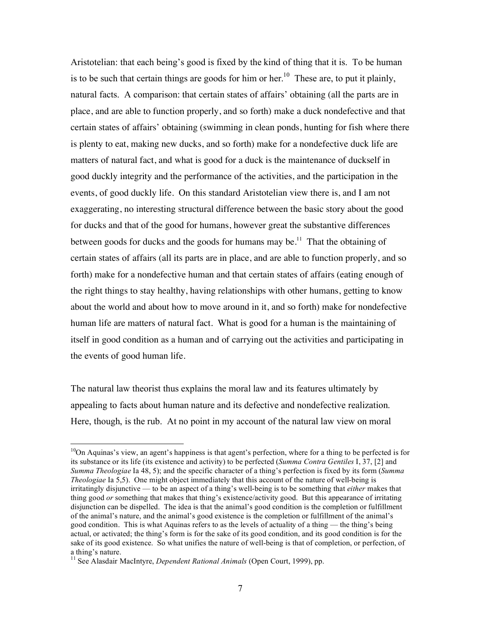Aristotelian: that each being's good is fixed by the kind of thing that it is. To be human is to be such that certain things are goods for him or her.<sup>10</sup> These are, to put it plainly, natural facts. A comparison: that certain states of affairs' obtaining (all the parts are in place, and are able to function properly, and so forth) make a duck nondefective and that certain states of affairs' obtaining (swimming in clean ponds, hunting for fish where there is plenty to eat, making new ducks, and so forth) make for a nondefective duck life are matters of natural fact, and what is good for a duck is the maintenance of duckself in good duckly integrity and the performance of the activities, and the participation in the events, of good duckly life. On this standard Aristotelian view there is, and I am not exaggerating, no interesting structural difference between the basic story about the good for ducks and that of the good for humans, however great the substantive differences between goods for ducks and the goods for humans may be.<sup>11</sup> That the obtaining of certain states of affairs (all its parts are in place, and are able to function properly, and so forth) make for a nondefective human and that certain states of affairs (eating enough of the right things to stay healthy, having relationships with other humans, getting to know about the world and about how to move around in it, and so forth) make for nondefective human life are matters of natural fact. What is good for a human is the maintaining of itself in good condition as a human and of carrying out the activities and participating in the events of good human life.

The natural law theorist thus explains the moral law and its features ultimately by appealing to facts about human nature and its defective and nondefective realization. Here, though, is the rub. At no point in my account of the natural law view on moral

 $10$ On Aquinas's view, an agent's happiness is that agent's perfection, where for a thing to be perfected is for its substance or its life (its existence and activity) to be perfected (*Summa Contra Gentiles* I, 37, [2] and *Summa Theologiae* Ia 48, 5); and the specific character of a thing's perfection is fixed by its form (*Summa Theologiae* Ia 5,5). One might object immediately that this account of the nature of well-being is irritatingly disjunctive — to be an aspect of a thing's well-being is to be something that *either* makes that thing good *or* something that makes that thing's existence/activity good.But this appearance of irritating disjunction can be dispelled. The idea is that the animal's good condition is the completion or fulfillment of the animal's nature, and the animal's good existence is the completion or fulfillment of the animal's good condition. This is what Aquinas refers to as the levels of actuality of a thing — the thing's being actual, or activated; the thing's form is for the sake of its good condition, and its good condition is for the sake of its good existence. So what unifies the nature of well-being is that of completion, or perfection, of a thing's nature.

<sup>&</sup>lt;sup>11</sup> See Alasdair MacIntyre, *Dependent Rational Animals* (Open Court, 1999), pp.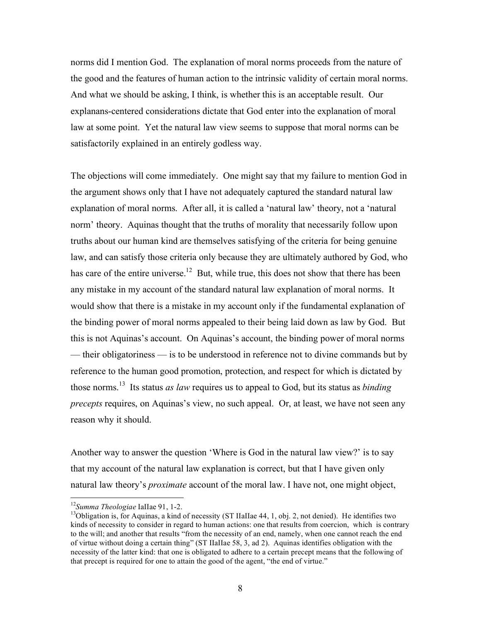norms did I mention God. The explanation of moral norms proceeds from the nature of the good and the features of human action to the intrinsic validity of certain moral norms. And what we should be asking, I think, is whether this is an acceptable result. Our explanans-centered considerations dictate that God enter into the explanation of moral law at some point. Yet the natural law view seems to suppose that moral norms can be satisfactorily explained in an entirely godless way.

The objections will come immediately. One might say that my failure to mention God in the argument shows only that I have not adequately captured the standard natural law explanation of moral norms. After all, it is called a 'natural law' theory, not a 'natural norm' theory. Aquinas thought that the truths of morality that necessarily follow upon truths about our human kind are themselves satisfying of the criteria for being genuine law, and can satisfy those criteria only because they are ultimately authored by God, who has care of the entire universe.<sup>12</sup> But, while true, this does not show that there has been any mistake in my account of the standard natural law explanation of moral norms. It would show that there is a mistake in my account only if the fundamental explanation of the binding power of moral norms appealed to their being laid down as law by God. But this is not Aquinas's account. On Aquinas's account, the binding power of moral norms — their obligatoriness — is to be understood in reference not to divine commands but by reference to the human good promotion, protection, and respect for which is dictated by those norms.13 Its status *as law* requires us to appeal to God, but its status as *binding precepts* requires, on Aquinas's view, no such appeal. Or, at least, we have not seen any reason why it should.

Another way to answer the question 'Where is God in the natural law view?' is to say that my account of the natural law explanation is correct, but that I have given only natural law theory's *proximate* account of the moral law. I have not, one might object,

<sup>&</sup>lt;sup>12</sup>*Summa Theologiae* IaIIae 91, 1-2.<br><sup>13</sup>Obligation is, for Aquinas, a kind of necessity (ST IIaIIae 44, 1, obj. 2, not denied). He identifies two kinds of necessity to consider in regard to human actions: one that results from coercion, which is contrary to the will; and another that results "from the necessity of an end, namely, when one cannot reach the end of virtue without doing a certain thing" (ST IIaIIae 58, 3, ad 2). Aquinas identifies obligation with the necessity of the latter kind: that one is obligated to adhere to a certain precept means that the following of that precept is required for one to attain the good of the agent, "the end of virtue."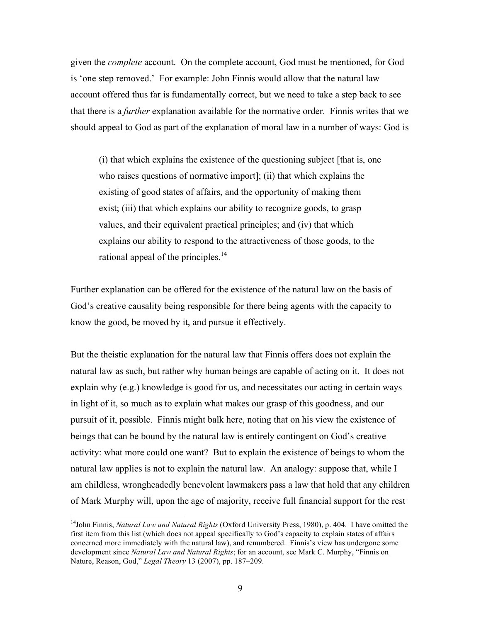given the *complete* account. On the complete account, God must be mentioned, for God is 'one step removed.' For example: John Finnis would allow that the natural law account offered thus far is fundamentally correct, but we need to take a step back to see that there is a *further* explanation available for the normative order. Finnis writes that we should appeal to God as part of the explanation of moral law in a number of ways: God is

(i) that which explains the existence of the questioning subject [that is, one who raises questions of normative import]; (ii) that which explains the existing of good states of affairs, and the opportunity of making them exist; (iii) that which explains our ability to recognize goods, to grasp values, and their equivalent practical principles; and (iv) that which explains our ability to respond to the attractiveness of those goods, to the rational appeal of the principles. $14$ 

Further explanation can be offered for the existence of the natural law on the basis of God's creative causality being responsible for there being agents with the capacity to know the good, be moved by it, and pursue it effectively.

But the theistic explanation for the natural law that Finnis offers does not explain the natural law as such, but rather why human beings are capable of acting on it. It does not explain why (e.g.) knowledge is good for us, and necessitates our acting in certain ways in light of it, so much as to explain what makes our grasp of this goodness, and our pursuit of it, possible. Finnis might balk here, noting that on his view the existence of beings that can be bound by the natural law is entirely contingent on God's creative activity: what more could one want? But to explain the existence of beings to whom the natural law applies is not to explain the natural law. An analogy: suppose that, while I am childless, wrongheadedly benevolent lawmakers pass a law that hold that any children of Mark Murphy will, upon the age of majority, receive full financial support for the rest

 <sup>14</sup>John Finnis, *Natural Law and Natural Rights* (Oxford University Press, 1980), p. 404. I have omitted the first item from this list (which does not appeal specifically to God's capacity to explain states of affairs concerned more immediately with the natural law), and renumbered. Finnis's view has undergone some development since *Natural Law and Natural Rights*; for an account, see Mark C. Murphy, "Finnis on Nature, Reason, God," *Legal Theory* 13 (2007), pp. 187–209.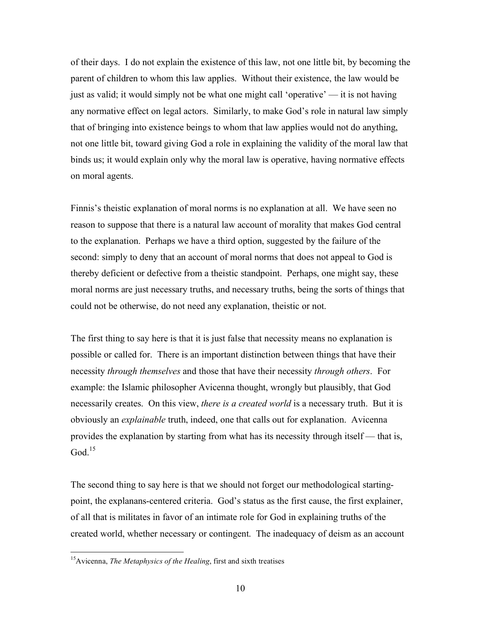of their days. I do not explain the existence of this law, not one little bit, by becoming the parent of children to whom this law applies. Without their existence, the law would be just as valid; it would simply not be what one might call 'operative' — it is not having any normative effect on legal actors. Similarly, to make God's role in natural law simply that of bringing into existence beings to whom that law applies would not do anything, not one little bit, toward giving God a role in explaining the validity of the moral law that binds us; it would explain only why the moral law is operative, having normative effects on moral agents.

Finnis's theistic explanation of moral norms is no explanation at all. We have seen no reason to suppose that there is a natural law account of morality that makes God central to the explanation. Perhaps we have a third option, suggested by the failure of the second: simply to deny that an account of moral norms that does not appeal to God is thereby deficient or defective from a theistic standpoint. Perhaps, one might say, these moral norms are just necessary truths, and necessary truths, being the sorts of things that could not be otherwise, do not need any explanation, theistic or not.

The first thing to say here is that it is just false that necessity means no explanation is possible or called for. There is an important distinction between things that have their necessity *through themselves* and those that have their necessity *through others*. For example: the Islamic philosopher Avicenna thought, wrongly but plausibly, that God necessarily creates. On this view, *there is a created world* is a necessary truth. But it is obviously an *explainable* truth, indeed, one that calls out for explanation. Avicenna provides the explanation by starting from what has its necessity through itself — that is, God $15$ 

The second thing to say here is that we should not forget our methodological startingpoint, the explanans-centered criteria. God's status as the first cause, the first explainer, of all that is militates in favor of an intimate role for God in explaining truths of the created world, whether necessary or contingent. The inadequacy of deism as an account

<sup>&</sup>lt;sup>15</sup>Avicenna, *The Metaphysics of the Healing*, first and sixth treatises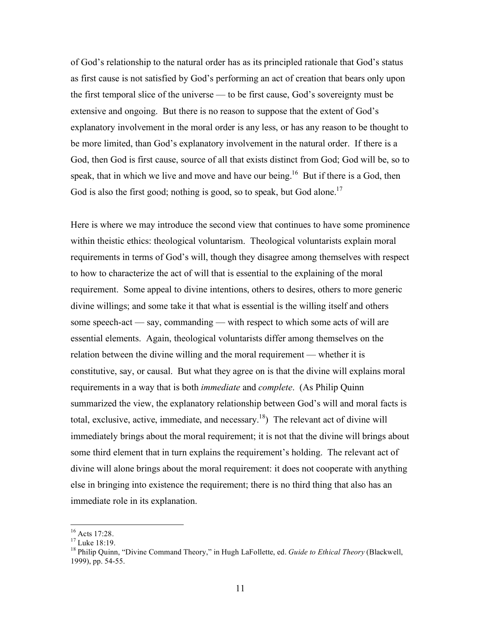of God's relationship to the natural order has as its principled rationale that God's status as first cause is not satisfied by God's performing an act of creation that bears only upon the first temporal slice of the universe — to be first cause, God's sovereignty must be extensive and ongoing. But there is no reason to suppose that the extent of God's explanatory involvement in the moral order is any less, or has any reason to be thought to be more limited, than God's explanatory involvement in the natural order. If there is a God, then God is first cause, source of all that exists distinct from God; God will be, so to speak, that in which we live and move and have our being.<sup>16</sup> But if there is a God, then God is also the first good; nothing is good, so to speak, but God alone.<sup>17</sup>

Here is where we may introduce the second view that continues to have some prominence within theistic ethics: theological voluntarism. Theological voluntarists explain moral requirements in terms of God's will, though they disagree among themselves with respect to how to characterize the act of will that is essential to the explaining of the moral requirement. Some appeal to divine intentions, others to desires, others to more generic divine willings; and some take it that what is essential is the willing itself and others some speech-act — say, commanding — with respect to which some acts of will are essential elements. Again, theological voluntarists differ among themselves on the relation between the divine willing and the moral requirement — whether it is constitutive, say, or causal. But what they agree on is that the divine will explains moral requirements in a way that is both *immediate* and *complete*. (As Philip Quinn summarized the view, the explanatory relationship between God's will and moral facts is total, exclusive, active, immediate, and necessary.<sup>18</sup>) The relevant act of divine will immediately brings about the moral requirement; it is not that the divine will brings about some third element that in turn explains the requirement's holding. The relevant act of divine will alone brings about the moral requirement: it does not cooperate with anything else in bringing into existence the requirement; there is no third thing that also has an immediate role in its explanation.

 <sup>16</sup> Acts 17:28.

 $17 \text{ Luke } 18:19.$ 

<sup>18</sup> Philip Quinn, "Divine Command Theory," in Hugh LaFollette, ed. *Guide to Ethical Theory* (Blackwell, 1999), pp. 54-55.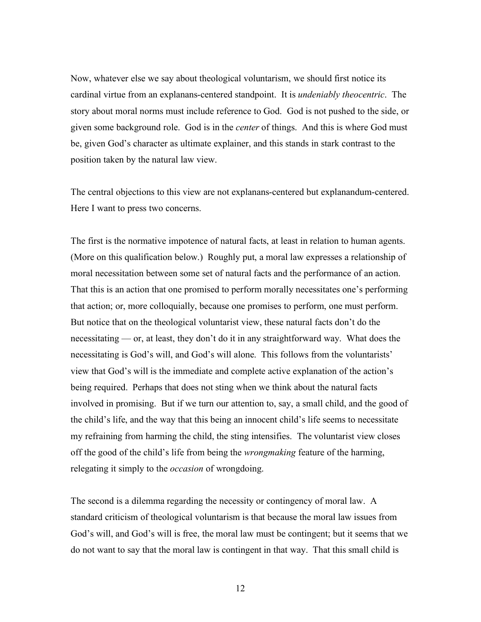Now, whatever else we say about theological voluntarism, we should first notice its cardinal virtue from an explanans-centered standpoint. It is *undeniably theocentric*. The story about moral norms must include reference to God. God is not pushed to the side, or given some background role. God is in the *center* of things. And this is where God must be, given God's character as ultimate explainer, and this stands in stark contrast to the position taken by the natural law view.

The central objections to this view are not explanans-centered but explanandum-centered. Here I want to press two concerns.

The first is the normative impotence of natural facts, at least in relation to human agents. (More on this qualification below.) Roughly put, a moral law expresses a relationship of moral necessitation between some set of natural facts and the performance of an action. That this is an action that one promised to perform morally necessitates one's performing that action; or, more colloquially, because one promises to perform, one must perform. But notice that on the theological voluntarist view, these natural facts don't do the necessitating — or, at least, they don't do it in any straightforward way. What does the necessitating is God's will, and God's will alone. This follows from the voluntarists' view that God's will is the immediate and complete active explanation of the action's being required. Perhaps that does not sting when we think about the natural facts involved in promising. But if we turn our attention to, say, a small child, and the good of the child's life, and the way that this being an innocent child's life seems to necessitate my refraining from harming the child, the sting intensifies. The voluntarist view closes off the good of the child's life from being the *wrongmaking* feature of the harming, relegating it simply to the *occasion* of wrongdoing.

The second is a dilemma regarding the necessity or contingency of moral law. A standard criticism of theological voluntarism is that because the moral law issues from God's will, and God's will is free, the moral law must be contingent; but it seems that we do not want to say that the moral law is contingent in that way. That this small child is

12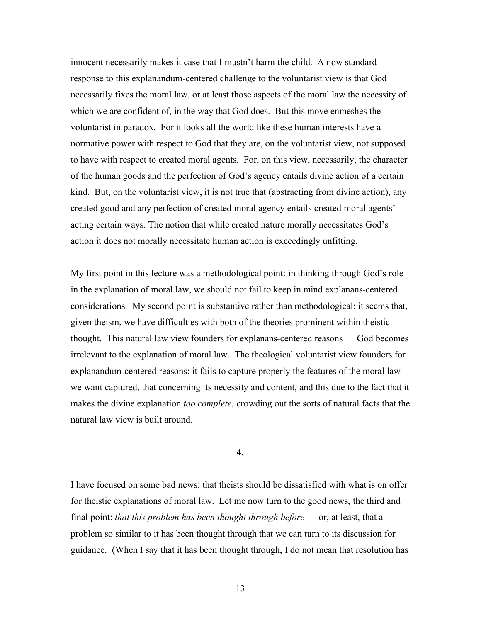innocent necessarily makes it case that I mustn't harm the child. A now standard response to this explanandum-centered challenge to the voluntarist view is that God necessarily fixes the moral law, or at least those aspects of the moral law the necessity of which we are confident of, in the way that God does. But this move enmeshes the voluntarist in paradox. For it looks all the world like these human interests have a normative power with respect to God that they are, on the voluntarist view, not supposed to have with respect to created moral agents. For, on this view, necessarily, the character of the human goods and the perfection of God's agency entails divine action of a certain kind. But, on the voluntarist view, it is not true that (abstracting from divine action), any created good and any perfection of created moral agency entails created moral agents' acting certain ways. The notion that while created nature morally necessitates God's action it does not morally necessitate human action is exceedingly unfitting.

My first point in this lecture was a methodological point: in thinking through God's role in the explanation of moral law, we should not fail to keep in mind explanans-centered considerations. My second point is substantive rather than methodological: it seems that, given theism, we have difficulties with both of the theories prominent within theistic thought. This natural law view founders for explanans-centered reasons — God becomes irrelevant to the explanation of moral law. The theological voluntarist view founders for explanandum-centered reasons: it fails to capture properly the features of the moral law we want captured, that concerning its necessity and content, and this due to the fact that it makes the divine explanation *too complete*, crowding out the sorts of natural facts that the natural law view is built around.

## **4.**

I have focused on some bad news: that theists should be dissatisfied with what is on offer for theistic explanations of moral law. Let me now turn to the good news, the third and final point: *that this problem has been thought through before* — or, at least, that a problem so similar to it has been thought through that we can turn to its discussion for guidance. (When I say that it has been thought through, I do not mean that resolution has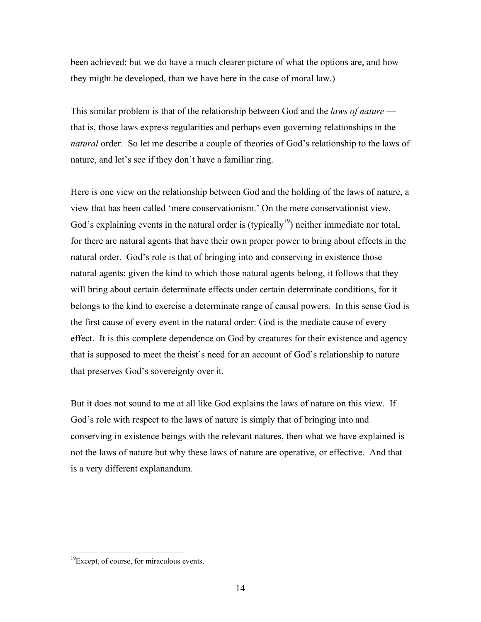been achieved; but we do have a much clearer picture of what the options are, and how they might be developed, than we have here in the case of moral law.)

This similar problem is that of the relationship between God and the *laws of nature* that is, those laws express regularities and perhaps even governing relationships in the *natural* order. So let me describe a couple of theories of God's relationship to the laws of nature, and let's see if they don't have a familiar ring.

Here is one view on the relationship between God and the holding of the laws of nature, a view that has been called 'mere conservationism.' On the mere conservationist view, God's explaining events in the natural order is (typically<sup>19</sup>) neither immediate nor total, for there are natural agents that have their own proper power to bring about effects in the natural order. God's role is that of bringing into and conserving in existence those natural agents; given the kind to which those natural agents belong, it follows that they will bring about certain determinate effects under certain determinate conditions, for it belongs to the kind to exercise a determinate range of causal powers. In this sense God is the first cause of every event in the natural order: God is the mediate cause of every effect. It is this complete dependence on God by creatures for their existence and agency that is supposed to meet the theist's need for an account of God's relationship to nature that preserves God's sovereignty over it.

But it does not sound to me at all like God explains the laws of nature on this view. If God's role with respect to the laws of nature is simply that of bringing into and conserving in existence beings with the relevant natures, then what we have explained is not the laws of nature but why these laws of nature are operative, or effective. And that is a very different explanandum.

<sup>&</sup>lt;sup>19</sup>Except, of course, for miraculous events.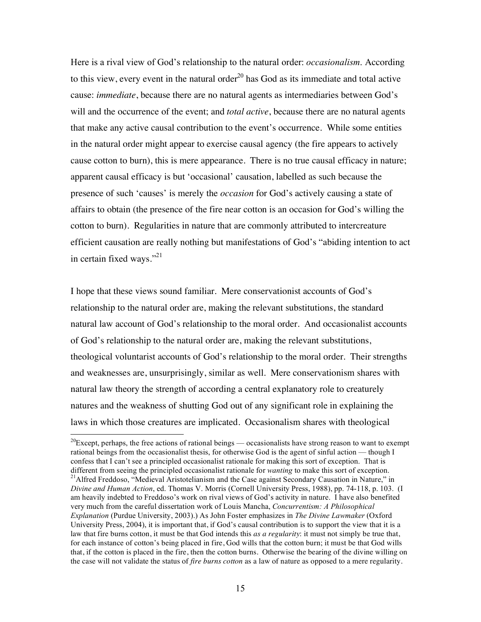Here is a rival view of God's relationship to the natural order: *occasionalism*. According to this view, every event in the natural order<sup>20</sup> has God as its immediate and total active cause: *immediate*, because there are no natural agents as intermediaries between God's will and the occurrence of the event; and *total active*, because there are no natural agents that make any active causal contribution to the event's occurrence. While some entities in the natural order might appear to exercise causal agency (the fire appears to actively cause cotton to burn), this is mere appearance. There is no true causal efficacy in nature; apparent causal efficacy is but 'occasional' causation, labelled as such because the presence of such 'causes' is merely the *occasion* for God's actively causing a state of affairs to obtain (the presence of the fire near cotton is an occasion for God's willing the cotton to burn). Regularities in nature that are commonly attributed to intercreature efficient causation are really nothing but manifestations of God's "abiding intention to act in certain fixed ways."<sup>21</sup>

I hope that these views sound familiar. Mere conservationist accounts of God's relationship to the natural order are, making the relevant substitutions, the standard natural law account of God's relationship to the moral order. And occasionalist accounts of God's relationship to the natural order are, making the relevant substitutions, theological voluntarist accounts of God's relationship to the moral order. Their strengths and weaknesses are, unsurprisingly, similar as well. Mere conservationism shares with natural law theory the strength of according a central explanatory role to creaturely natures and the weakness of shutting God out of any significant role in explaining the laws in which those creatures are implicated. Occasionalism shares with theological

 $20$ Except, perhaps, the free actions of rational beings — occasionalists have strong reason to want to exempt rational beings from the occasionalist thesis, for otherwise God is the agent of sinful action — though I confess that I can't see a principled occasionalist rationale for making this sort of exception. That is different from seeing the principled occasionalist rationale for *wanting* to make this sort of exception.<br><sup>21</sup>Alfred Freddoso, "Medieval Aristotelianism and the Case against Secondary Causation in Nature," in *Divine and Human Action*, ed. Thomas V. Morris (Cornell University Press, 1988), pp. 74-118, p. 103. (I am heavily indebted to Freddoso's work on rival views of God's activity in nature. I have also benefited very much from the careful dissertation work of Louis Mancha, *Concurrentism: A Philosophical Explanation* (Purdue University, 2003).) As John Foster emphasizes in *The Divine Lawmaker* (Oxford University Press, 2004), it is important that, if God's causal contribution is to support the view that it is a law that fire burns cotton, it must be that God intends this *as a regularity*: it must not simply be true that, for each instance of cotton's being placed in fire, God wills that the cotton burn; it must be that God wills that, if the cotton is placed in the fire, then the cotton burns. Otherwise the bearing of the divine willing on the case will not validate the status of *fire burns cotton* as a law of nature as opposed to a mere regularity.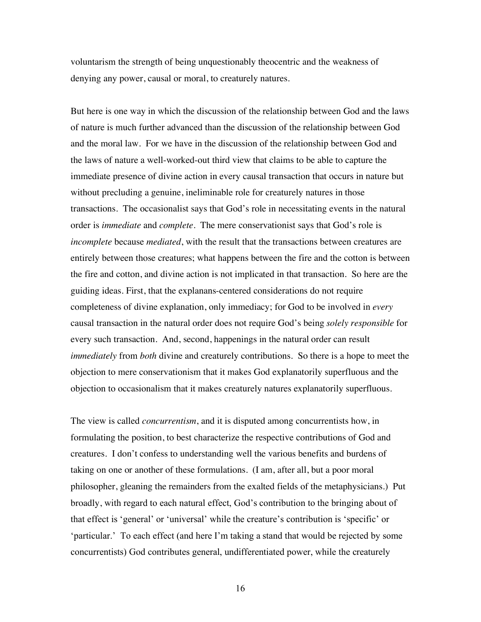voluntarism the strength of being unquestionably theocentric and the weakness of denying any power, causal or moral, to creaturely natures.

But here is one way in which the discussion of the relationship between God and the laws of nature is much further advanced than the discussion of the relationship between God and the moral law. For we have in the discussion of the relationship between God and the laws of nature a well-worked-out third view that claims to be able to capture the immediate presence of divine action in every causal transaction that occurs in nature but without precluding a genuine, ineliminable role for creaturely natures in those transactions. The occasionalist says that God's role in necessitating events in the natural order is *immediate* and *complete*. The mere conservationist says that God's role is *incomplete* because *mediated*, with the result that the transactions between creatures are entirely between those creatures; what happens between the fire and the cotton is between the fire and cotton, and divine action is not implicated in that transaction. So here are the guiding ideas. First, that the explanans-centered considerations do not require completeness of divine explanation, only immediacy; for God to be involved in *every* causal transaction in the natural order does not require God's being *solely responsible* for every such transaction. And, second, happenings in the natural order can result *immediately* from *both* divine and creaturely contributions. So there is a hope to meet the objection to mere conservationism that it makes God explanatorily superfluous and the objection to occasionalism that it makes creaturely natures explanatorily superfluous.

The view is called *concurrentism*, and it is disputed among concurrentists how, in formulating the position, to best characterize the respective contributions of God and creatures. I don't confess to understanding well the various benefits and burdens of taking on one or another of these formulations. (I am, after all, but a poor moral philosopher, gleaning the remainders from the exalted fields of the metaphysicians.) Put broadly, with regard to each natural effect, God's contribution to the bringing about of that effect is 'general' or 'universal' while the creature's contribution is 'specific' or 'particular.' To each effect (and here I'm taking a stand that would be rejected by some concurrentists) God contributes general, undifferentiated power, while the creaturely

16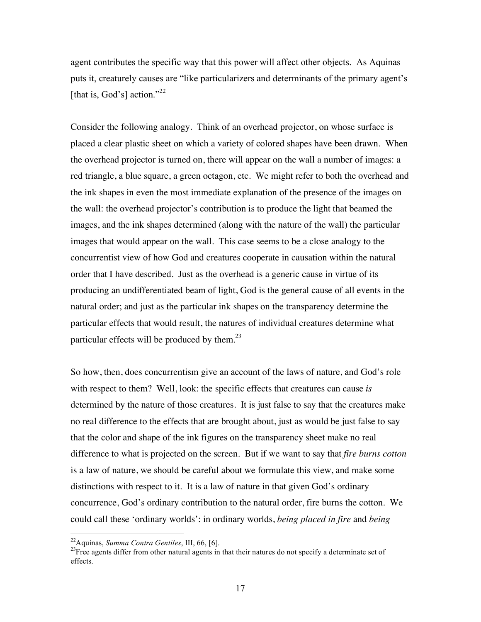agent contributes the specific way that this power will affect other objects. As Aquinas puts it, creaturely causes are "like particularizers and determinants of the primary agent's [that is, God's] action."<sup>22</sup>

Consider the following analogy. Think of an overhead projector, on whose surface is placed a clear plastic sheet on which a variety of colored shapes have been drawn. When the overhead projector is turned on, there will appear on the wall a number of images: a red triangle, a blue square, a green octagon, etc. We might refer to both the overhead and the ink shapes in even the most immediate explanation of the presence of the images on the wall: the overhead projector's contribution is to produce the light that beamed the images, and the ink shapes determined (along with the nature of the wall) the particular images that would appear on the wall. This case seems to be a close analogy to the concurrentist view of how God and creatures cooperate in causation within the natural order that I have described. Just as the overhead is a generic cause in virtue of its producing an undifferentiated beam of light, God is the general cause of all events in the natural order; and just as the particular ink shapes on the transparency determine the particular effects that would result, the natures of individual creatures determine what particular effects will be produced by them. $^{23}$ 

So how, then, does concurrentism give an account of the laws of nature, and God's role with respect to them? Well, look: the specific effects that creatures can cause *is* determined by the nature of those creatures. It is just false to say that the creatures make no real difference to the effects that are brought about, just as would be just false to say that the color and shape of the ink figures on the transparency sheet make no real difference to what is projected on the screen. But if we want to say that *fire burns cotton* is a law of nature, we should be careful about we formulate this view, and make some distinctions with respect to it. It is a law of nature in that given God's ordinary concurrence, God's ordinary contribution to the natural order, fire burns the cotton. We could call these 'ordinary worlds': in ordinary worlds, *being placed in fire* and *being* 

<sup>&</sup>lt;sup>22</sup>Aquinas, *Summa Contra Gentiles*, III, 66, [6].<br><sup>23</sup>Free agents differ from other natural agents in that their natures do not specify a determinate set of effects.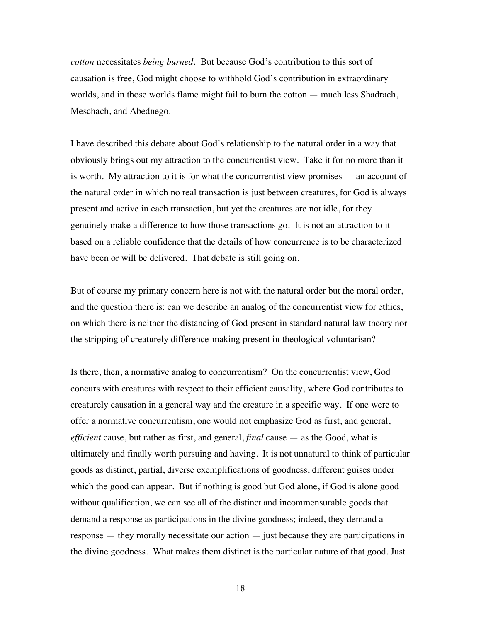*cotton* necessitates *being burned*. But because God's contribution to this sort of causation is free, God might choose to withhold God's contribution in extraordinary worlds, and in those worlds flame might fail to burn the cotton — much less Shadrach, Meschach, and Abednego.

I have described this debate about God's relationship to the natural order in a way that obviously brings out my attraction to the concurrentist view. Take it for no more than it is worth. My attraction to it is for what the concurrentist view promises — an account of the natural order in which no real transaction is just between creatures, for God is always present and active in each transaction, but yet the creatures are not idle, for they genuinely make a difference to how those transactions go. It is not an attraction to it based on a reliable confidence that the details of how concurrence is to be characterized have been or will be delivered. That debate is still going on.

But of course my primary concern here is not with the natural order but the moral order, and the question there is: can we describe an analog of the concurrentist view for ethics, on which there is neither the distancing of God present in standard natural law theory nor the stripping of creaturely difference-making present in theological voluntarism?

Is there, then, a normative analog to concurrentism? On the concurrentist view, God concurs with creatures with respect to their efficient causality, where God contributes to creaturely causation in a general way and the creature in a specific way. If one were to offer a normative concurrentism, one would not emphasize God as first, and general, *efficient* cause, but rather as first, and general, *final* cause — as the Good, what is ultimately and finally worth pursuing and having. It is not unnatural to think of particular goods as distinct, partial, diverse exemplifications of goodness, different guises under which the good can appear. But if nothing is good but God alone, if God is alone good without qualification, we can see all of the distinct and incommensurable goods that demand a response as participations in the divine goodness; indeed, they demand a response — they morally necessitate our action — just because they are participations in the divine goodness. What makes them distinct is the particular nature of that good. Just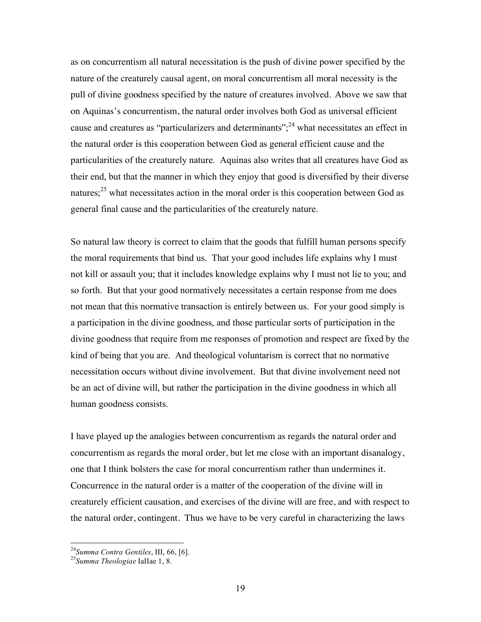as on concurrentism all natural necessitation is the push of divine power specified by the nature of the creaturely causal agent, on moral concurrentism all moral necessity is the pull of divine goodness specified by the nature of creatures involved. Above we saw that on Aquinas's concurrentism, the natural order involves both God as universal efficient cause and creatures as "particularizers and determinants";  $^{24}$  what necessitates an effect in the natural order is this cooperation between God as general efficient cause and the particularities of the creaturely nature. Aquinas also writes that all creatures have God as their end, but that the manner in which they enjoy that good is diversified by their diverse natures; $25$  what necessitates action in the moral order is this cooperation between God as general final cause and the particularities of the creaturely nature.

So natural law theory is correct to claim that the goods that fulfill human persons specify the moral requirements that bind us. That your good includes life explains why I must not kill or assault you; that it includes knowledge explains why I must not lie to you; and so forth. But that your good normatively necessitates a certain response from me does not mean that this normative transaction is entirely between us. For your good simply is a participation in the divine goodness, and those particular sorts of participation in the divine goodness that require from me responses of promotion and respect are fixed by the kind of being that you are. And theological voluntarism is correct that no normative necessitation occurs without divine involvement. But that divine involvement need not be an act of divine will, but rather the participation in the divine goodness in which all human goodness consists.

I have played up the analogies between concurrentism as regards the natural order and concurrentism as regards the moral order, but let me close with an important disanalogy, one that I think bolsters the case for moral concurrentism rather than undermines it. Concurrence in the natural order is a matter of the cooperation of the divine will in creaturely efficient causation, and exercises of the divine will are free, and with respect to the natural order, contingent. Thus we have to be very careful in characterizing the laws

<sup>24</sup>*Summa Contra Gentiles*, III, 66, [6]. <sup>25</sup>*Summa Theologiae* IaIIae 1, 8.